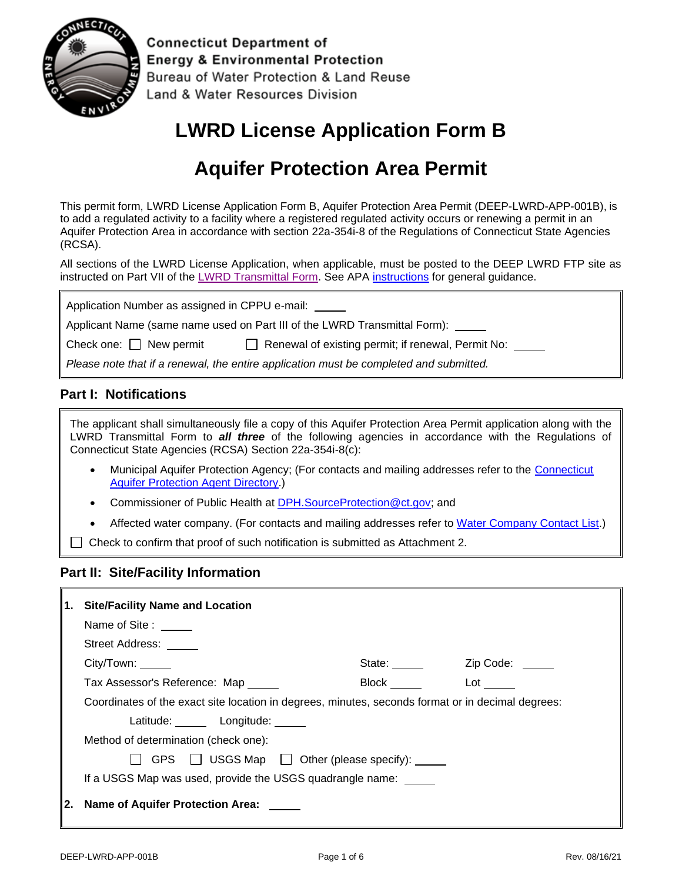

**Connecticut Department of Energy & Environmental Protection** Bureau of Water Protection & Land Reuse Land & Water Resources Division

# **LWRD License Application Form B**

# **Aquifer Protection Area Permit**

This permit form, LWRD License Application Form B, Aquifer Protection Area Permit (DEEP-LWRD-APP-001B), is to add a regulated activity to a facility where a registered regulated activity occurs or renewing a permit in an Aquifer Protection Area in accordance with section 22a-354i-8 of the Regulations of Connecticut State Agencies (RCSA).

All sections of the LWRD License Application, when applicable, must be posted to the DEEP LWRD FTP site as instructed on Part VII of the [LWRD Transmittal Form.](https://portal.ct.gov/-/media/DEEP/Permits_and_Licenses/Land_Use_Permits/LWRD/transmittalappdoc.doc) See APA [instructions](https://portal.ct.gov/-/media/DEEP/Permits_and_Licenses/Land_Use_Permits/Aquifer_Protection_Permits/APAappinstpdf.pdf?la=en) for general guidance.

| Application Number as assigned in CPPU e-mail:                                              |  |  |  |
|---------------------------------------------------------------------------------------------|--|--|--|
| Applicant Name (same name used on Part III of the LWRD Transmittal Form): ______            |  |  |  |
| Check one: $\Box$ New permit<br>Renewal of existing permit; if renewal, Permit No: \[ _____ |  |  |  |
| Please note that if a renewal, the entire application must be completed and submitted.      |  |  |  |

### **Part I: Notifications**

The applicant shall simultaneously file a copy of this Aquifer Protection Area Permit application along with the LWRD Transmittal Form to *all three* of the following agencies in accordance with the Regulations of Connecticut State Agencies (RCSA) Section 22a-354i-8(c):

- Municipal Aquifer Protection Agency; (For contacts and mailing addresses refer to the [Connecticut](https://portal.ct.gov/-/media/DEEP/aquifer_protection/apagencydirectorypdf.pdf)  [Aquifer Protection Agent Directory.](https://portal.ct.gov/-/media/DEEP/aquifer_protection/apagencydirectorypdf.pdf))
- Commissioner of Public Health at [DPH.SourceProtection@ct.gov;](mailto:DPH.SourceProtection@ct.gov) and
- Affected water company. (For contacts and mailing addresses refer to [Water Company Contact List.](https://portal.ct.gov/-/media/DEEP/aquifer_protection/wtrcocontactlist2019pdf.pdf))

 $\Box$  Check to confirm that proof of such notification is submitted as Attachment 2.

#### **Part II: Site/Facility Information**

| <b>Site/Facility Name and Location</b>                                                                                                                                                                                                                          |                                                                                                   |  |  |
|-----------------------------------------------------------------------------------------------------------------------------------------------------------------------------------------------------------------------------------------------------------------|---------------------------------------------------------------------------------------------------|--|--|
| Name of Site:                                                                                                                                                                                                                                                   |                                                                                                   |  |  |
| Street Address: _____                                                                                                                                                                                                                                           |                                                                                                   |  |  |
| State: _____                                                                                                                                                                                                                                                    | Zip Code:                                                                                         |  |  |
| Tax Assessor's Reference: Map<br>Lot the set of the set of the set of the set of the set of the set of the set of the set of the set of the set of the set of the set of the set of the set of the set of the set of the set of the set of the set of the set o |                                                                                                   |  |  |
|                                                                                                                                                                                                                                                                 | Coordinates of the exact site location in degrees, minutes, seconds format or in decimal degrees: |  |  |
| Latitude: Longitude: Latitude:                                                                                                                                                                                                                                  |                                                                                                   |  |  |
| Method of determination (check one):                                                                                                                                                                                                                            |                                                                                                   |  |  |
| GPS $\Box$ USGS Map $\Box$ Other (please specify): $\Box$                                                                                                                                                                                                       |                                                                                                   |  |  |
| If a USGS Map was used, provide the USGS quadrangle name:                                                                                                                                                                                                       |                                                                                                   |  |  |
| Name of Aquifer Protection Area:                                                                                                                                                                                                                                |                                                                                                   |  |  |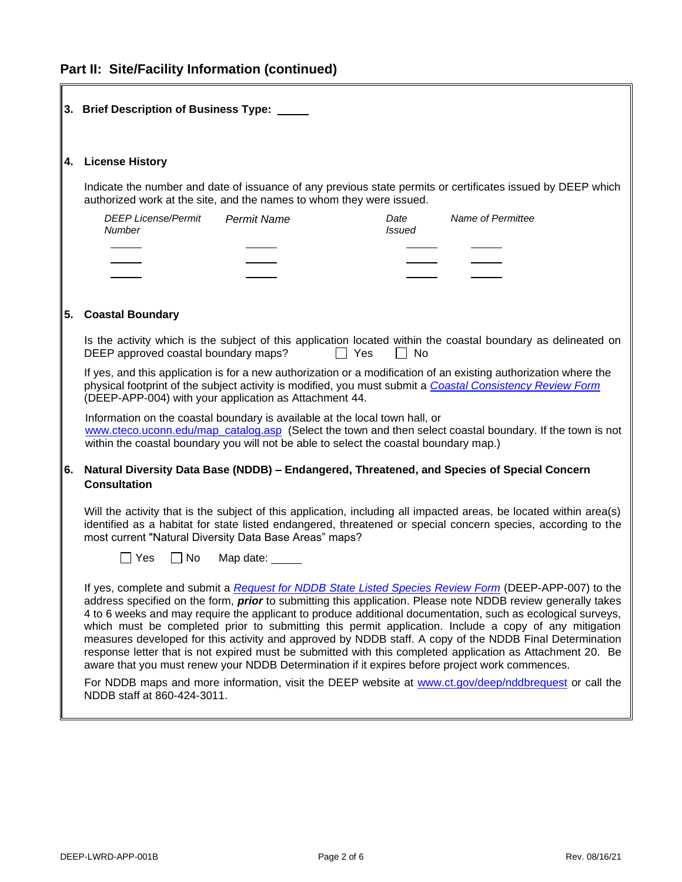## **Part II: Site/Facility Information (continued)**

 $\overline{\mathbb{I}}$ 

|    | 3. Brief Description of Business Type: _____                                                                                                                                                                                                                                                                                                                                                                                                                                                                                                                                                                                                                                                                                                                                    |  |  |
|----|---------------------------------------------------------------------------------------------------------------------------------------------------------------------------------------------------------------------------------------------------------------------------------------------------------------------------------------------------------------------------------------------------------------------------------------------------------------------------------------------------------------------------------------------------------------------------------------------------------------------------------------------------------------------------------------------------------------------------------------------------------------------------------|--|--|
| 4. | <b>License History</b>                                                                                                                                                                                                                                                                                                                                                                                                                                                                                                                                                                                                                                                                                                                                                          |  |  |
|    | Indicate the number and date of issuance of any previous state permits or certificates issued by DEEP which<br>authorized work at the site, and the names to whom they were issued.                                                                                                                                                                                                                                                                                                                                                                                                                                                                                                                                                                                             |  |  |
|    | Name of Permittee<br><b>DEEP License/Permit</b><br><b>Permit Name</b><br>Date<br>Number<br><i>Issued</i>                                                                                                                                                                                                                                                                                                                                                                                                                                                                                                                                                                                                                                                                        |  |  |
|    |                                                                                                                                                                                                                                                                                                                                                                                                                                                                                                                                                                                                                                                                                                                                                                                 |  |  |
| 5. | <b>Coastal Boundary</b>                                                                                                                                                                                                                                                                                                                                                                                                                                                                                                                                                                                                                                                                                                                                                         |  |  |
|    | Is the activity which is the subject of this application located within the coastal boundary as delineated on<br>DEEP approved coastal boundary maps?<br>Yes<br>No                                                                                                                                                                                                                                                                                                                                                                                                                                                                                                                                                                                                              |  |  |
|    | If yes, and this application is for a new authorization or a modification of an existing authorization where the<br>physical footprint of the subject activity is modified, you must submit a Coastal Consistency Review Form<br>(DEEP-APP-004) with your application as Attachment 44.<br>Information on the coastal boundary is available at the local town hall, or<br>www.cteco.uconn.edu/map_catalog.asp (Select the town and then select coastal boundary. If the town is not<br>within the coastal boundary you will not be able to select the coastal boundary map.)                                                                                                                                                                                                    |  |  |
|    |                                                                                                                                                                                                                                                                                                                                                                                                                                                                                                                                                                                                                                                                                                                                                                                 |  |  |
| 6. | Natural Diversity Data Base (NDDB) - Endangered, Threatened, and Species of Special Concern<br><b>Consultation</b>                                                                                                                                                                                                                                                                                                                                                                                                                                                                                                                                                                                                                                                              |  |  |
|    | Will the activity that is the subject of this application, including all impacted areas, be located within area(s)<br>identified as a habitat for state listed endangered, threatened or special concern species, according to the<br>most current "Natural Diversity Data Base Areas" maps?                                                                                                                                                                                                                                                                                                                                                                                                                                                                                    |  |  |
|    | $\Box$ No<br>  Yes<br>Map date: _____                                                                                                                                                                                                                                                                                                                                                                                                                                                                                                                                                                                                                                                                                                                                           |  |  |
|    | If yes, complete and submit a Request for NDDB State Listed Species Review Form (DEEP-APP-007) to the<br>address specified on the form, <i>prior</i> to submitting this application. Please note NDDB review generally takes<br>4 to 6 weeks and may require the applicant to produce additional documentation, such as ecological surveys,<br>which must be completed prior to submitting this permit application. Include a copy of any mitigation<br>measures developed for this activity and approved by NDDB staff. A copy of the NDDB Final Determination<br>response letter that is not expired must be submitted with this completed application as Attachment 20. Be<br>aware that you must renew your NDDB Determination if it expires before project work commences. |  |  |
|    | For NDDB maps and more information, visit the DEEP website at www.ct.gov/deep/nddbrequest or call the<br>NDDB staff at 860-424-3011.                                                                                                                                                                                                                                                                                                                                                                                                                                                                                                                                                                                                                                            |  |  |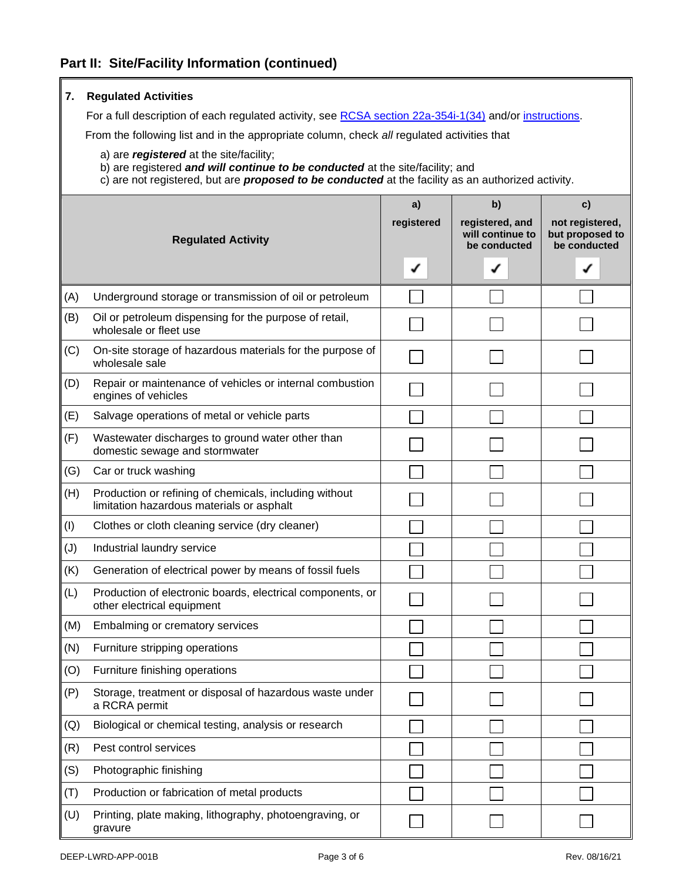| 7.  | <b>Regulated Activities</b>                                                                                                                                                                                                           |                       |                                                           |                                                          |
|-----|---------------------------------------------------------------------------------------------------------------------------------------------------------------------------------------------------------------------------------------|-----------------------|-----------------------------------------------------------|----------------------------------------------------------|
|     | For a full description of each regulated activity, see RCSA section 22a-354i-1(34) and/or instructions.                                                                                                                               |                       |                                                           |                                                          |
|     | From the following list and in the appropriate column, check all regulated activities that                                                                                                                                            |                       |                                                           |                                                          |
|     | a) are registered at the site/facility;<br>b) are registered and will continue to be conducted at the site/facility; and<br>c) are not registered, but are <i>proposed to be conducted</i> at the facility as an authorized activity. |                       |                                                           |                                                          |
|     | <b>Regulated Activity</b>                                                                                                                                                                                                             | a)<br>registered<br>✔ | b)<br>registered, and<br>will continue to<br>be conducted | c)<br>not registered,<br>but proposed to<br>be conducted |
| (A) | Underground storage or transmission of oil or petroleum                                                                                                                                                                               |                       |                                                           |                                                          |
| (B) | Oil or petroleum dispensing for the purpose of retail,<br>wholesale or fleet use                                                                                                                                                      |                       |                                                           |                                                          |
| (C) | On-site storage of hazardous materials for the purpose of<br>wholesale sale                                                                                                                                                           |                       |                                                           |                                                          |
| (D) | Repair or maintenance of vehicles or internal combustion<br>engines of vehicles                                                                                                                                                       |                       |                                                           |                                                          |
| (E) | Salvage operations of metal or vehicle parts                                                                                                                                                                                          |                       |                                                           |                                                          |
| (F) | Wastewater discharges to ground water other than<br>domestic sewage and stormwater                                                                                                                                                    |                       |                                                           |                                                          |
| (G) | Car or truck washing                                                                                                                                                                                                                  |                       |                                                           |                                                          |
| (H) | Production or refining of chemicals, including without<br>limitation hazardous materials or asphalt                                                                                                                                   |                       |                                                           |                                                          |
| (1) | Clothes or cloth cleaning service (dry cleaner)                                                                                                                                                                                       |                       |                                                           |                                                          |
| (J) | Industrial laundry service                                                                                                                                                                                                            |                       |                                                           |                                                          |
| (K) | Generation of electrical power by means of fossil fuels                                                                                                                                                                               |                       |                                                           |                                                          |
| (L) | Production of electronic boards, electrical components, or<br>other electrical equipment                                                                                                                                              |                       |                                                           |                                                          |
| (M) | Embalming or crematory services                                                                                                                                                                                                       |                       |                                                           |                                                          |
| (N) | Furniture stripping operations                                                                                                                                                                                                        |                       |                                                           |                                                          |
| (O) | Furniture finishing operations                                                                                                                                                                                                        |                       |                                                           |                                                          |
| (P) | Storage, treatment or disposal of hazardous waste under<br>a RCRA permit                                                                                                                                                              |                       |                                                           |                                                          |
| (Q) | Biological or chemical testing, analysis or research                                                                                                                                                                                  |                       |                                                           |                                                          |
| (R) | Pest control services                                                                                                                                                                                                                 |                       |                                                           |                                                          |
| (S) | Photographic finishing                                                                                                                                                                                                                |                       |                                                           |                                                          |
| (T) | Production or fabrication of metal products                                                                                                                                                                                           |                       |                                                           |                                                          |
| (U) | Printing, plate making, lithography, photoengraving, or<br>gravure                                                                                                                                                                    |                       |                                                           |                                                          |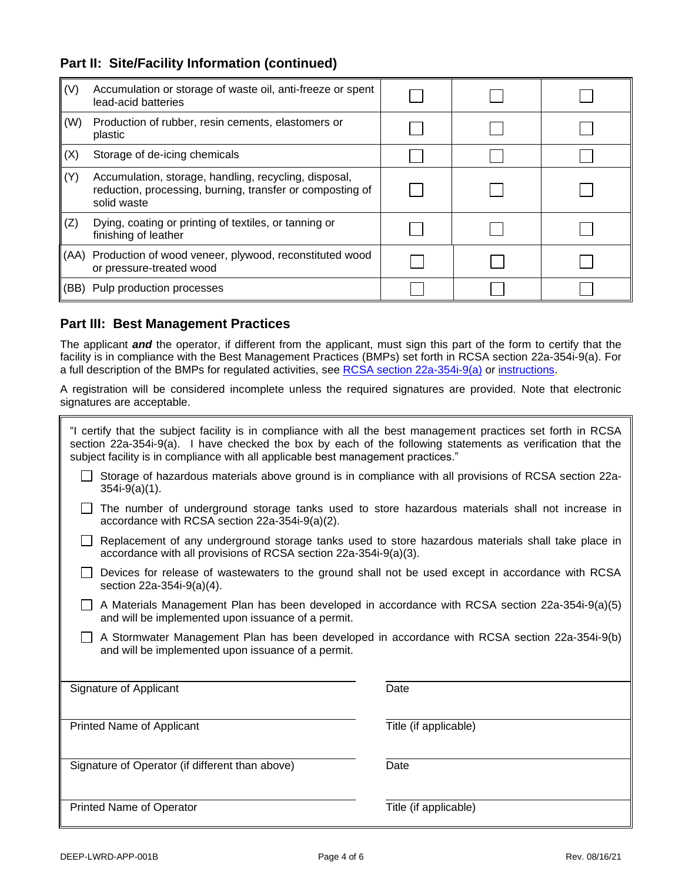### **Part II: Site/Facility Information (continued)**

| (V)                                                                  | Accumulation or storage of waste oil, anti-freeze or spent<br>lead-acid batteries                                                 |  |  |  |
|----------------------------------------------------------------------|-----------------------------------------------------------------------------------------------------------------------------------|--|--|--|
| (W)<br>Production of rubber, resin cements, elastomers or<br>plastic |                                                                                                                                   |  |  |  |
| (X)<br>Storage of de-icing chemicals                                 |                                                                                                                                   |  |  |  |
| (Y)                                                                  | Accumulation, storage, handling, recycling, disposal,<br>reduction, processing, burning, transfer or composting of<br>solid waste |  |  |  |
| (Z)                                                                  | Dying, coating or printing of textiles, or tanning or<br>finishing of leather                                                     |  |  |  |
| (AA)                                                                 | Production of wood veneer, plywood, reconstituted wood<br>or pressure-treated wood                                                |  |  |  |
| (BB)                                                                 | Pulp production processes                                                                                                         |  |  |  |

### **Part III: Best Management Practices**

The applicant *and* the operator, if different from the applicant, must sign this part of the form to certify that the facility is in compliance with the Best Management Practices (BMPs) set forth in RCSA section 22a-354i-9(a). For a full description of the BMPs for regulated activities, see [RCSA section 22a-354i-9\(a\)](https://eregulations.ct.gov/eRegsPortal/Browse/RCSA/Title_22aSubtitle_22a-354iSection_22a-354i-9/) or [instructions.](https://portal.ct.gov/-/media/DEEP/Permits_and_Licenses/Land_Use_Permits/Aquifer_Protection_Permits/APAappinstpdf.pdf?la=en)

A registration will be considered incomplete unless the required signatures are provided. Note that electronic signatures are acceptable.

| "I certify that the subject facility is in compliance with all the best management practices set forth in RCSA<br>section 22a-354i-9(a). I have checked the box by each of the following statements as verification that the<br>subject facility is in compliance with all applicable best management practices." |                       |  |  |
|-------------------------------------------------------------------------------------------------------------------------------------------------------------------------------------------------------------------------------------------------------------------------------------------------------------------|-----------------------|--|--|
| Storage of hazardous materials above ground is in compliance with all provisions of RCSA section 22a-<br>$354i-9(a)(1)$ .                                                                                                                                                                                         |                       |  |  |
| The number of underground storage tanks used to store hazardous materials shall not increase in<br>accordance with RCSA section 22a-354i-9(a)(2).                                                                                                                                                                 |                       |  |  |
| Replacement of any underground storage tanks used to store hazardous materials shall take place in<br>accordance with all provisions of RCSA section 22a-354i-9(a)(3).                                                                                                                                            |                       |  |  |
| Devices for release of wastewaters to the ground shall not be used except in accordance with RCSA<br>section 22a-354i-9(a)(4).                                                                                                                                                                                    |                       |  |  |
| A Materials Management Plan has been developed in accordance with RCSA section 22a-354i-9(a)(5)<br>and will be implemented upon issuance of a permit.                                                                                                                                                             |                       |  |  |
| A Stormwater Management Plan has been developed in accordance with RCSA section 22a-354i-9(b)<br>and will be implemented upon issuance of a permit.                                                                                                                                                               |                       |  |  |
| Signature of Applicant                                                                                                                                                                                                                                                                                            | Date                  |  |  |
| <b>Printed Name of Applicant</b>                                                                                                                                                                                                                                                                                  | Title (if applicable) |  |  |
| Signature of Operator (if different than above)                                                                                                                                                                                                                                                                   | Date                  |  |  |
| <b>Printed Name of Operator</b>                                                                                                                                                                                                                                                                                   | Title (if applicable) |  |  |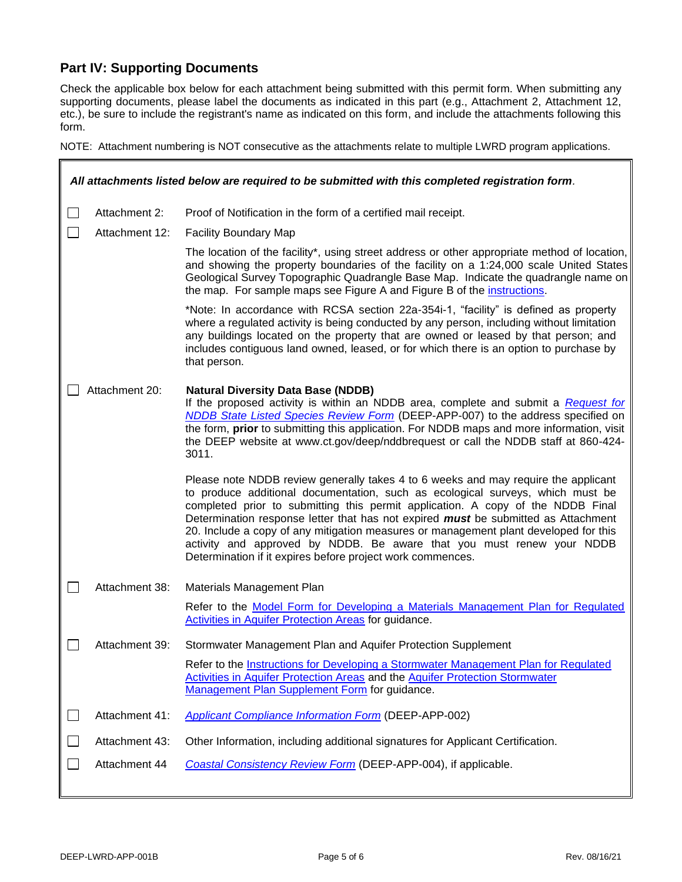## **Part IV: Supporting Documents**

Check the applicable box below for each attachment being submitted with this permit form. When submitting any supporting documents, please label the documents as indicated in this part (e.g., Attachment 2, Attachment 12, etc.), be sure to include the registrant's name as indicated on this form, and include the attachments following this form.

NOTE: Attachment numbering is NOT consecutive as the attachments relate to multiple LWRD program applications.

| All attachments listed below are required to be submitted with this completed registration form. |                |                                                                                                                                                                                                                                                                                                                                                                                                                                                                                                                                                                              |  |
|--------------------------------------------------------------------------------------------------|----------------|------------------------------------------------------------------------------------------------------------------------------------------------------------------------------------------------------------------------------------------------------------------------------------------------------------------------------------------------------------------------------------------------------------------------------------------------------------------------------------------------------------------------------------------------------------------------------|--|
| $\mathbf{I}$                                                                                     | Attachment 2:  | Proof of Notification in the form of a certified mail receipt.                                                                                                                                                                                                                                                                                                                                                                                                                                                                                                               |  |
| I.                                                                                               | Attachment 12: | <b>Facility Boundary Map</b>                                                                                                                                                                                                                                                                                                                                                                                                                                                                                                                                                 |  |
|                                                                                                  |                | The location of the facility*, using street address or other appropriate method of location,<br>and showing the property boundaries of the facility on a 1:24,000 scale United States<br>Geological Survey Topographic Quadrangle Base Map. Indicate the quadrangle name on<br>the map. For sample maps see Figure A and Figure B of the instructions.                                                                                                                                                                                                                       |  |
|                                                                                                  |                | *Note: In accordance with RCSA section 22a-354i-1, "facility" is defined as property<br>where a regulated activity is being conducted by any person, including without limitation<br>any buildings located on the property that are owned or leased by that person; and<br>includes contiguous land owned, leased, or for which there is an option to purchase by<br>that person.                                                                                                                                                                                            |  |
| Attachment 20:                                                                                   |                | <b>Natural Diversity Data Base (NDDB)</b><br>If the proposed activity is within an NDDB area, complete and submit a Request for<br>NDDB State Listed Species Review Form (DEEP-APP-007) to the address specified on<br>the form, prior to submitting this application. For NDDB maps and more information, visit<br>the DEEP website at www.ct.gov/deep/nddbrequest or call the NDDB staff at 860-424-<br>3011.                                                                                                                                                              |  |
|                                                                                                  |                | Please note NDDB review generally takes 4 to 6 weeks and may require the applicant<br>to produce additional documentation, such as ecological surveys, which must be<br>completed prior to submitting this permit application. A copy of the NDDB Final<br>Determination response letter that has not expired must be submitted as Attachment<br>20. Include a copy of any mitigation measures or management plant developed for this<br>activity and approved by NDDB. Be aware that you must renew your NDDB<br>Determination if it expires before project work commences. |  |
|                                                                                                  | Attachment 38: | Materials Management Plan                                                                                                                                                                                                                                                                                                                                                                                                                                                                                                                                                    |  |
|                                                                                                  |                | Refer to the Model Form for Developing a Materials Management Plan for Regulated<br><b>Activities in Aquifer Protection Areas for guidance.</b>                                                                                                                                                                                                                                                                                                                                                                                                                              |  |
|                                                                                                  | Attachment 39: | Stormwater Management Plan and Aquifer Protection Supplement                                                                                                                                                                                                                                                                                                                                                                                                                                                                                                                 |  |
|                                                                                                  |                | Refer to the Instructions for Developing a Stormwater Management Plan for Regulated<br><b>Activities in Aquifer Protection Areas and the Aquifer Protection Stormwater</b><br>Management Plan Supplement Form for guidance.                                                                                                                                                                                                                                                                                                                                                  |  |
| $\Box$                                                                                           | Attachment 41: | <b>Applicant Compliance Information Form (DEEP-APP-002)</b>                                                                                                                                                                                                                                                                                                                                                                                                                                                                                                                  |  |
|                                                                                                  | Attachment 43: | Other Information, including additional signatures for Applicant Certification.                                                                                                                                                                                                                                                                                                                                                                                                                                                                                              |  |
| $\sim$                                                                                           | Attachment 44  | Coastal Consistency Review Form (DEEP-APP-004), if applicable.                                                                                                                                                                                                                                                                                                                                                                                                                                                                                                               |  |
|                                                                                                  |                |                                                                                                                                                                                                                                                                                                                                                                                                                                                                                                                                                                              |  |